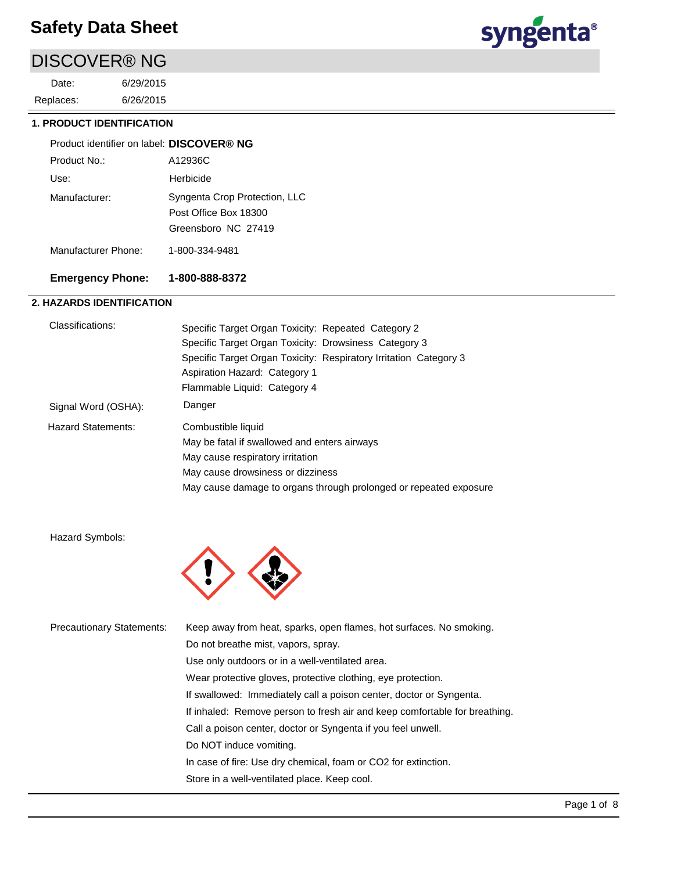# DISCOVER® NG

6/26/2015 6/29/2015 Replaces: Date:



#### **1. PRODUCT IDENTIFICATION**

| Product identifier on label: DISCOVER® NG |                                                                               |
|-------------------------------------------|-------------------------------------------------------------------------------|
| Product No.:                              | A12936C                                                                       |
| Use:                                      | Herbicide                                                                     |
| Manufacturer:                             | Syngenta Crop Protection, LLC<br>Post Office Box 18300<br>Greensboro NC 27419 |
| Manufacturer Phone:                       | 1-800-334-9481                                                                |

## **Emergency Phone: 1-800-888-8372**

## **2. HAZARDS IDENTIFICATION**

| Classifications:    | Specific Target Organ Toxicity: Repeated Category 2<br>Specific Target Organ Toxicity: Drowsiness Category 3                       |
|---------------------|------------------------------------------------------------------------------------------------------------------------------------|
|                     | Specific Target Organ Toxicity: Respiratory Irritation Category 3<br>Aspiration Hazard: Category 1<br>Flammable Liquid: Category 4 |
| Signal Word (OSHA): | Danger                                                                                                                             |
| Hazard Statements:  | Combustible liquid                                                                                                                 |
|                     | May be fatal if swallowed and enters airways                                                                                       |
|                     | May cause respiratory irritation                                                                                                   |
|                     | May cause drowsiness or dizziness                                                                                                  |
|                     | May cause damage to organs through prolonged or repeated exposure                                                                  |

Hazard Symbols:



| <b>Precautionary Statements:</b> | Keep away from heat, sparks, open flames, hot surfaces. No smoking.        |  |  |
|----------------------------------|----------------------------------------------------------------------------|--|--|
|                                  | Do not breathe mist, vapors, spray.                                        |  |  |
|                                  | Use only outdoors or in a well-ventilated area.                            |  |  |
|                                  | Wear protective gloves, protective clothing, eye protection.               |  |  |
|                                  | If swallowed: Immediately call a poison center, doctor or Syngenta.        |  |  |
|                                  | If inhaled: Remove person to fresh air and keep comfortable for breathing. |  |  |
|                                  | Call a poison center, doctor or Syngenta if you feel unwell.               |  |  |
|                                  | Do NOT induce vomiting.                                                    |  |  |
|                                  | In case of fire: Use dry chemical, foam or CO2 for extinction.             |  |  |
|                                  | Store in a well-ventilated place. Keep cool.                               |  |  |
|                                  |                                                                            |  |  |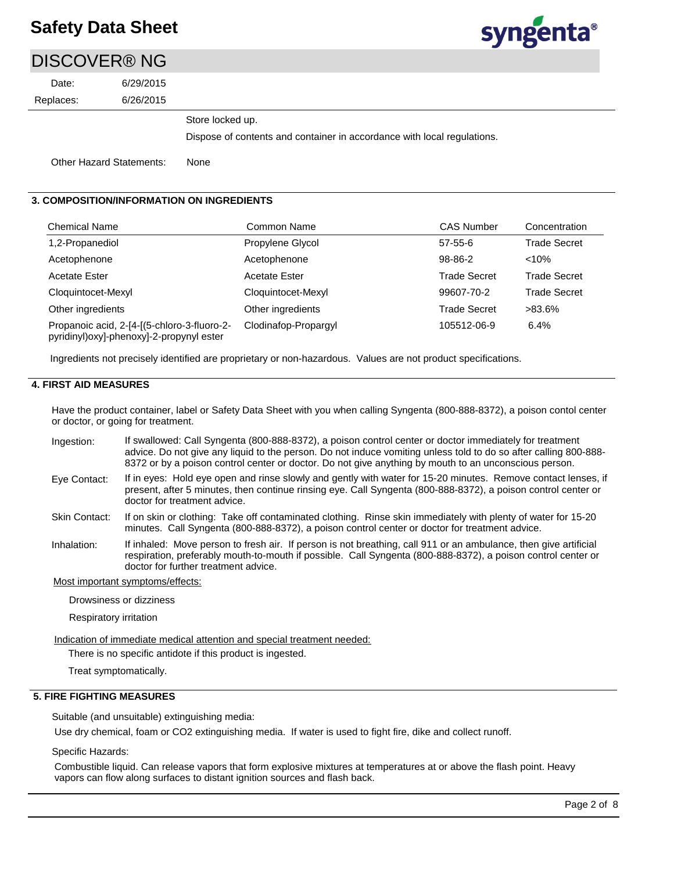# **syngenta**®

## 6/26/2015 6/29/2015 Replaces: Date: DISCOVER® NG Other Hazard Statements: None Store locked up. Dispose of contents and container in accordance with local regulations.

#### **3. COMPOSITION/INFORMATION ON INGREDIENTS**

| Chemical Name                                                                            | Common Name          | <b>CAS Number</b>   | Concentration       |
|------------------------------------------------------------------------------------------|----------------------|---------------------|---------------------|
| 1,2-Propanediol                                                                          | Propylene Glycol     | $57 - 55 - 6$       | <b>Trade Secret</b> |
| Acetophenone                                                                             | Acetophenone         | 98-86-2             | $< 10\%$            |
| <b>Acetate Ester</b>                                                                     | <b>Acetate Ester</b> | <b>Trade Secret</b> | <b>Trade Secret</b> |
| Cloquintocet-Mexyl                                                                       | Cloquintocet-Mexyl   | 99607-70-2          | <b>Trade Secret</b> |
| Other ingredients                                                                        | Other ingredients    | <b>Trade Secret</b> | >83.6%              |
| Propanoic acid, 2-[4-[(5-chloro-3-fluoro-2-<br>pyridinyl) oxy]-phenoxy]-2-propynyl ester | Clodinafop-Propargyl | 105512-06-9         | 6.4%                |

Ingredients not precisely identified are proprietary or non-hazardous. Values are not product specifications.

#### **4. FIRST AID MEASURES**

Have the product container, label or Safety Data Sheet with you when calling Syngenta (800-888-8372), a poison contol center or doctor, or going for treatment.

- If swallowed: Call Syngenta (800-888-8372), a poison control center or doctor immediately for treatment advice. Do not give any liquid to the person. Do not induce vomiting unless told to do so after calling 800-888- 8372 or by a poison control center or doctor. Do not give anything by mouth to an unconscious person. Ingestion:
- If in eyes: Hold eye open and rinse slowly and gently with water for 15-20 minutes. Remove contact lenses, if present, after 5 minutes, then continue rinsing eye. Call Syngenta (800-888-8372), a poison control center or doctor for treatment advice. Eye Contact:
- If on skin or clothing: Take off contaminated clothing. Rinse skin immediately with plenty of water for 15-20 minutes. Call Syngenta (800-888-8372), a poison control center or doctor for treatment advice. Skin Contact:
- If inhaled: Move person to fresh air. If person is not breathing, call 911 or an ambulance, then give artificial respiration, preferably mouth-to-mouth if possible. Call Syngenta (800-888-8372), a poison control center or doctor for further treatment advice. Inhalation:

Most important symptoms/effects:

Drowsiness or dizziness

Respiratory irritation

Indication of immediate medical attention and special treatment needed:

There is no specific antidote if this product is ingested.

Treat symptomatically.

#### **5. FIRE FIGHTING MEASURES**

Suitable (and unsuitable) extinguishing media:

Use dry chemical, foam or CO2 extinguishing media. If water is used to fight fire, dike and collect runoff.

Specific Hazards:

Combustible liquid. Can release vapors that form explosive mixtures at temperatures at or above the flash point. Heavy vapors can flow along surfaces to distant ignition sources and flash back.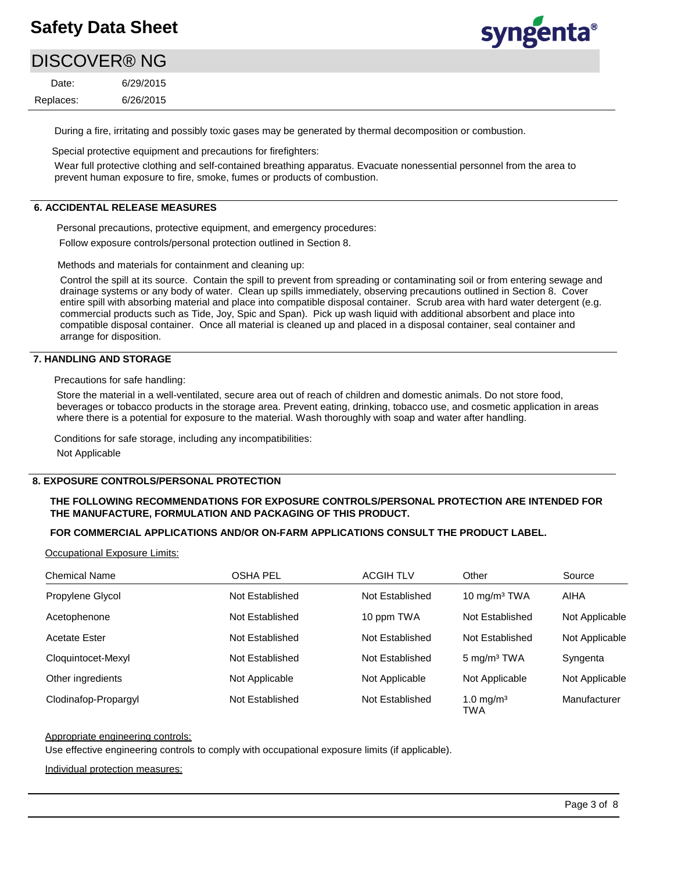# **syngenta**®

# DISCOVER® NG

6/26/2015 6/29/2015 Replaces: Date:

During a fire, irritating and possibly toxic gases may be generated by thermal decomposition or combustion.

Special protective equipment and precautions for firefighters:

Wear full protective clothing and self-contained breathing apparatus. Evacuate nonessential personnel from the area to prevent human exposure to fire, smoke, fumes or products of combustion.

#### **6. ACCIDENTAL RELEASE MEASURES**

Personal precautions, protective equipment, and emergency procedures:

Follow exposure controls/personal protection outlined in Section 8.

Methods and materials for containment and cleaning up:

Control the spill at its source. Contain the spill to prevent from spreading or contaminating soil or from entering sewage and drainage systems or any body of water. Clean up spills immediately, observing precautions outlined in Section 8. Cover entire spill with absorbing material and place into compatible disposal container. Scrub area with hard water detergent (e.g. commercial products such as Tide, Joy, Spic and Span). Pick up wash liquid with additional absorbent and place into compatible disposal container. Once all material is cleaned up and placed in a disposal container, seal container and arrange for disposition.

### **7. HANDLING AND STORAGE**

Precautions for safe handling:

Store the material in a well-ventilated, secure area out of reach of children and domestic animals. Do not store food, beverages or tobacco products in the storage area. Prevent eating, drinking, tobacco use, and cosmetic application in areas where there is a potential for exposure to the material. Wash thoroughly with soap and water after handling.

Conditions for safe storage, including any incompatibilities:

Not Applicable

#### **8. EXPOSURE CONTROLS/PERSONAL PROTECTION**

#### **THE FOLLOWING RECOMMENDATIONS FOR EXPOSURE CONTROLS/PERSONAL PROTECTION ARE INTENDED FOR THE MANUFACTURE, FORMULATION AND PACKAGING OF THIS PRODUCT.**

#### **FOR COMMERCIAL APPLICATIONS AND/OR ON-FARM APPLICATIONS CONSULT THE PRODUCT LABEL.**

Occupational Exposure Limits:

| <b>Chemical Name</b> | <b>OSHA PEL</b> | <b>ACGIH TLV</b> | Other                               | Source         |
|----------------------|-----------------|------------------|-------------------------------------|----------------|
| Propylene Glycol     | Not Established | Not Established  | 10 $mg/m3 TWA$                      | AIHA           |
| Acetophenone         | Not Established | 10 ppm TWA       | Not Established                     | Not Applicable |
| <b>Acetate Ester</b> | Not Established | Not Established  | Not Established                     | Not Applicable |
| Cloquintocet-Mexyl   | Not Established | Not Established  | 5 mg/m <sup>3</sup> TWA             | Syngenta       |
| Other ingredients    | Not Applicable  | Not Applicable   | Not Applicable                      | Not Applicable |
| Clodinafop-Propargyl | Not Established | Not Established  | 1.0 mg/m <sup>3</sup><br><b>TWA</b> | Manufacturer   |

#### Appropriate engineering controls:

Use effective engineering controls to comply with occupational exposure limits (if applicable).

Individual protection measures: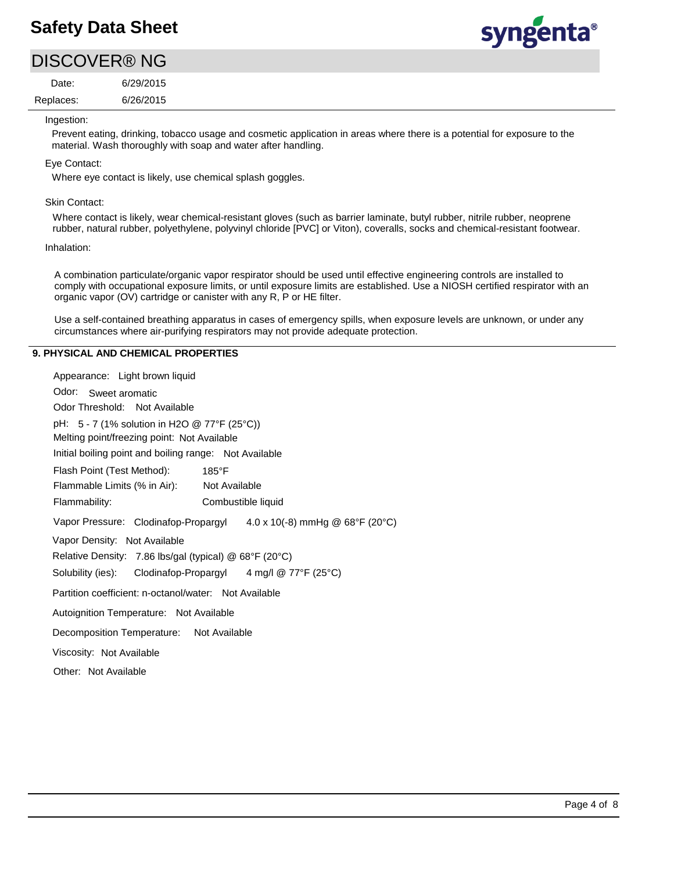# syngenta®

# DISCOVER® NG

6/26/2015 6/29/2015 Replaces: Date:

#### Ingestion:

Prevent eating, drinking, tobacco usage and cosmetic application in areas where there is a potential for exposure to the material. Wash thoroughly with soap and water after handling.

### Eye Contact:

Where eye contact is likely, use chemical splash goggles.

#### Skin Contact:

Where contact is likely, wear chemical-resistant gloves (such as barrier laminate, butyl rubber, nitrile rubber, neoprene rubber, natural rubber, polyethylene, polyvinyl chloride [PVC] or Viton), coveralls, socks and chemical-resistant footwear.

#### Inhalation:

A combination particulate/organic vapor respirator should be used until effective engineering controls are installed to comply with occupational exposure limits, or until exposure limits are established. Use a NIOSH certified respirator with an organic vapor (OV) cartridge or canister with any R, P or HE filter.

Use a self-contained breathing apparatus in cases of emergency spills, when exposure levels are unknown, or under any circumstances where air-purifying respirators may not provide adequate protection.

## **9. PHYSICAL AND CHEMICAL PROPERTIES**

| Appearance: Light brown liquid                                       |  |  |  |  |  |
|----------------------------------------------------------------------|--|--|--|--|--|
| Odor: Sweet aromatic                                                 |  |  |  |  |  |
| Odor Threshold: Not Available                                        |  |  |  |  |  |
| pH: $5 - 7$ (1% solution in H2O @ 77°F (25°C))                       |  |  |  |  |  |
| Melting point/freezing point: Not Available                          |  |  |  |  |  |
| Initial boiling point and boiling range: Not Available               |  |  |  |  |  |
| Flash Point (Test Method):<br>$185^{\circ}$ F                        |  |  |  |  |  |
| Flammable Limits (% in Air): Not Available                           |  |  |  |  |  |
| Flammability:<br>Combustible liquid                                  |  |  |  |  |  |
| Vapor Pressure: Clodinafop-Propargyl 4.0 x 10(-8) mmHg @ 68°F (20°C) |  |  |  |  |  |
| Vapor Density: Not Available                                         |  |  |  |  |  |
| Relative Density: 7.86 lbs/gal (typical) @ 68°F (20°C)               |  |  |  |  |  |
| Solubility (ies): Clodinafop-Propargyl 4 mg/l @ 77°F (25°C)          |  |  |  |  |  |
| Partition coefficient: n-octanol/water: Not Available                |  |  |  |  |  |
| Autoignition Temperature: Not Available                              |  |  |  |  |  |
| Decomposition Temperature: Not Available                             |  |  |  |  |  |
| Viscosity: Not Available                                             |  |  |  |  |  |
| Other: Not Available                                                 |  |  |  |  |  |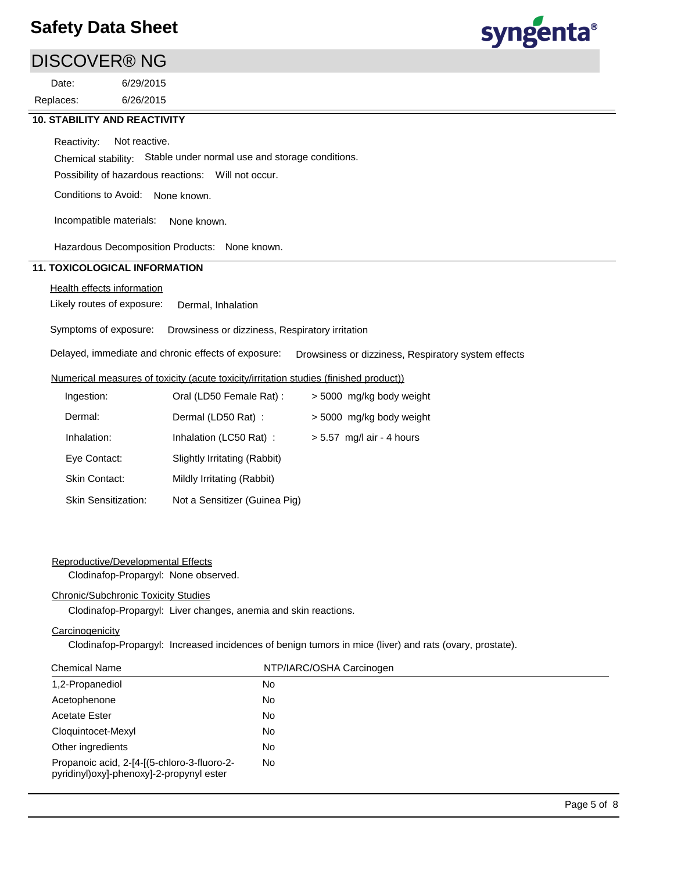## DISCOVER® NG

6/26/2015 6/29/2015 Replaces: Date:



#### **10. STABILITY AND REACTIVITY**

Reactivity: Not reactive.

Chemical stability: Stable under normal use and storage conditions.

Possibility of hazardous reactions: Will not occur.

Conditions to Avoid: None known.

Incompatible materials: None known.

Hazardous Decomposition Products: None known.

### **11. TOXICOLOGICAL INFORMATION**

## Health effects information

Likely routes of exposure: Dermal, Inhalation

Symptoms of exposure: Drowsiness or dizziness, Respiratory irritation

Delayed, immediate and chronic effects of exposure: Drowsiness or dizziness, Respiratory system effects

#### Numerical measures of toxicity (acute toxicity/irritation studies (finished product))

| Ingestion:                 | Oral (LD50 Female Rat):       | > 5000 mg/kg body weight    |
|----------------------------|-------------------------------|-----------------------------|
| Dermal:                    | Dermal (LD50 Rat) :           | > 5000 mg/kg body weight    |
| Inhalation:                | Inhalation (LC50 Rat):        | $> 5.57$ mg/l air - 4 hours |
| Eye Contact:               | Slightly Irritating (Rabbit)  |                             |
| Skin Contact:              | Mildly Irritating (Rabbit)    |                             |
| <b>Skin Sensitization:</b> | Not a Sensitizer (Guinea Pig) |                             |

#### Reproductive/Developmental Effects

Clodinafop-Propargyl: None observed.

#### Chronic/Subchronic Toxicity Studies

Clodinafop-Propargyl: Liver changes, anemia and skin reactions.

#### **Carcinogenicity**

Clodinafop-Propargyl: Increased incidences of benign tumors in mice (liver) and rats (ovary, prostate).

| <b>Chemical Name</b>                                                                     | NTP/IARC/OSHA Carcinogen |  |
|------------------------------------------------------------------------------------------|--------------------------|--|
| 1,2-Propanediol                                                                          | No.                      |  |
| Acetophenone                                                                             | No.                      |  |
| <b>Acetate Ester</b>                                                                     | No.                      |  |
| Cloquintocet-Mexyl                                                                       | No.                      |  |
| Other ingredients                                                                        | No.                      |  |
| Propanoic acid, 2-[4-[(5-chloro-3-fluoro-2-<br>pyridinyl) oxy]-phenoxy]-2-propynyl ester | No.                      |  |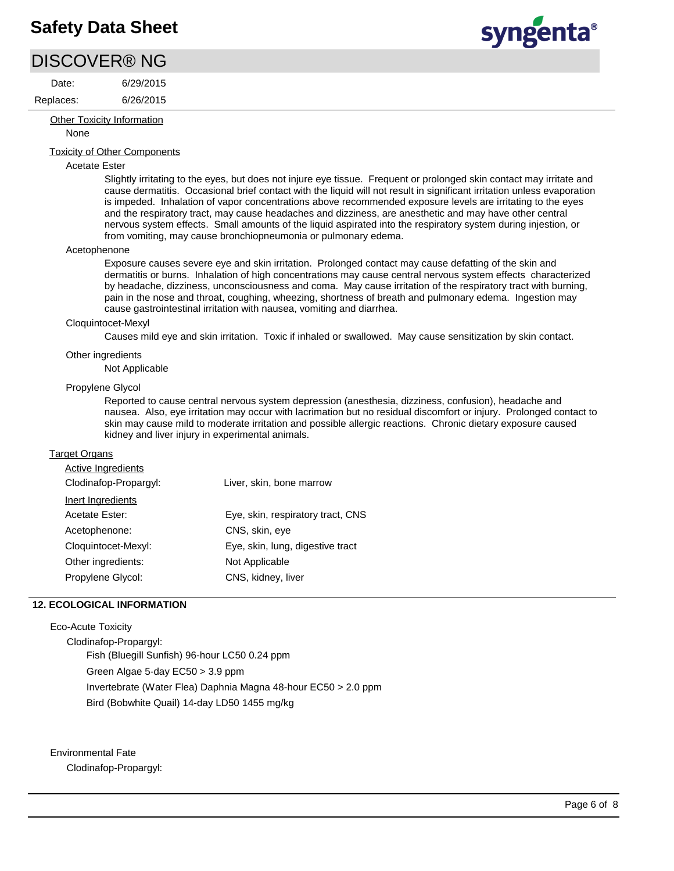## DISCOVER® NG

Date:

6/26/2015 Replaces:

#### **Other Toxicity Information**

None

### Toxicity of Other Components

6/29/2015

#### Acetate Ester

Slightly irritating to the eyes, but does not injure eye tissue. Frequent or prolonged skin contact may irritate and cause dermatitis. Occasional brief contact with the liquid will not result in significant irritation unless evaporation is impeded. Inhalation of vapor concentrations above recommended exposure levels are irritating to the eyes and the respiratory tract, may cause headaches and dizziness, are anesthetic and may have other central nervous system effects. Small amounts of the liquid aspirated into the respiratory system during injestion, or from vomiting, may cause bronchiopneumonia or pulmonary edema.

#### Acetophenone

Exposure causes severe eye and skin irritation. Prolonged contact may cause defatting of the skin and dermatitis or burns. Inhalation of high concentrations may cause central nervous system effects characterized by headache, dizziness, unconsciousness and coma. May cause irritation of the respiratory tract with burning, pain in the nose and throat, coughing, wheezing, shortness of breath and pulmonary edema. Ingestion may cause gastrointestinal irritation with nausea, vomiting and diarrhea.

#### Cloquintocet-Mexyl

Causes mild eye and skin irritation. Toxic if inhaled or swallowed. May cause sensitization by skin contact.

#### Other ingredients

#### Not Applicable

#### Propylene Glycol

Reported to cause central nervous system depression (anesthesia, dizziness, confusion), headache and nausea. Also, eye irritation may occur with lacrimation but no residual discomfort or injury. Prolonged contact to skin may cause mild to moderate irritation and possible allergic reactions. Chronic dietary exposure caused kidney and liver injury in experimental animals.

#### Target Organs

| Liver, skin, bone marrow          |
|-----------------------------------|
|                                   |
| Eye, skin, respiratory tract, CNS |
| CNS, skin, eye                    |
| Eye, skin, lung, digestive tract  |
| Not Applicable                    |
| CNS, kidney, liver                |
|                                   |

#### **12. ECOLOGICAL INFORMATION**

#### Eco-Acute Toxicity

Clodinafop-Propargyl: Fish (Bluegill Sunfish) 96-hour LC50 0.24 ppm Green Algae 5-day EC50 > 3.9 ppm Invertebrate (Water Flea) Daphnia Magna 48-hour EC50 > 2.0 ppm Bird (Bobwhite Quail) 14-day LD50 1455 mg/kg

Environmental Fate Clodinafop-Propargyl:

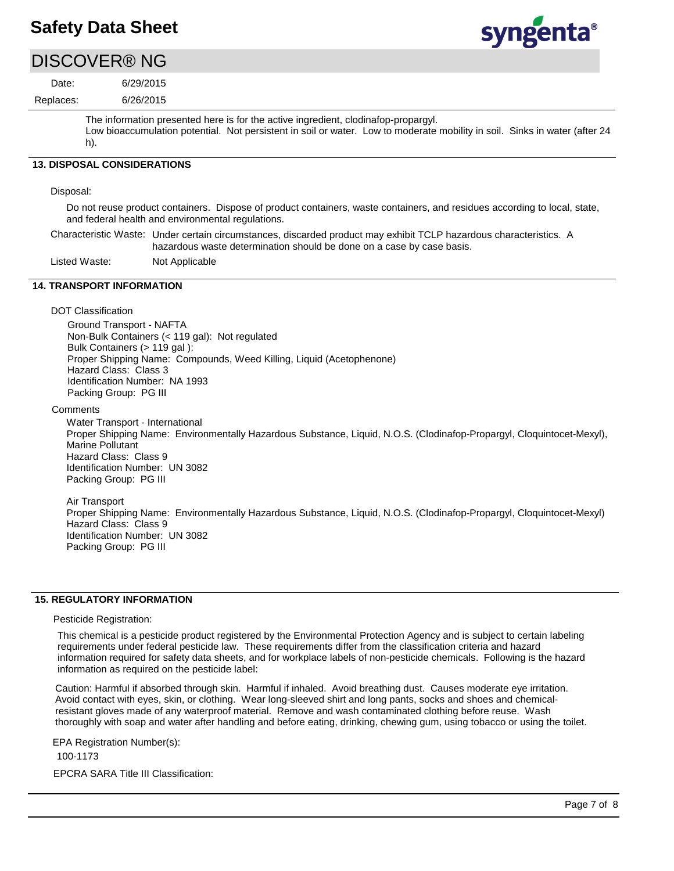# syngenta®

# DISCOVER® NG

6/26/2015 6/29/2015 Replaces: Date:

> The information presented here is for the active ingredient, clodinafop-propargyl. Low bioaccumulation potential. Not persistent in soil or water. Low to moderate mobility in soil. Sinks in water (after 24 h).

#### **13. DISPOSAL CONSIDERATIONS**

#### Disposal:

Do not reuse product containers. Dispose of product containers, waste containers, and residues according to local, state, and federal health and environmental regulations.

Characteristic Waste: Under certain circumstances, discarded product may exhibit TCLP hazardous characteristics. A hazardous waste determination should be done on a case by case basis.

Listed Waste: Not Applicable

### **14. TRANSPORT INFORMATION**

#### DOT Classification

Ground Transport - NAFTA Non-Bulk Containers (< 119 gal): Not regulated Bulk Containers (> 119 gal): Proper Shipping Name: Compounds, Weed Killing, Liquid (Acetophenone) Hazard Class: Class 3 Identification Number: NA 1993 Packing Group: PG III

#### **Comments**

Water Transport - International Proper Shipping Name: Environmentally Hazardous Substance, Liquid, N.O.S. (Clodinafop-Propargyl, Cloquintocet-Mexyl), Marine Pollutant Hazard Class: Class 9 Identification Number: UN 3082 Packing Group: PG III

Air Transport Proper Shipping Name: Environmentally Hazardous Substance, Liquid, N.O.S. (Clodinafop-Propargyl, Cloquintocet-Mexyl) Hazard Class: Class 9 Identification Number: UN 3082 Packing Group: PG III

#### **15. REGULATORY INFORMATION**

#### Pesticide Registration:

This chemical is a pesticide product registered by the Environmental Protection Agency and is subject to certain labeling requirements under federal pesticide law. These requirements differ from the classification criteria and hazard information required for safety data sheets, and for workplace labels of non-pesticide chemicals. Following is the hazard information as required on the pesticide label:

Caution: Harmful if absorbed through skin. Harmful if inhaled. Avoid breathing dust. Causes moderate eye irritation. Avoid contact with eyes, skin, or clothing. Wear long-sleeved shirt and long pants, socks and shoes and chemicalresistant gloves made of any waterproof material. Remove and wash contaminated clothing before reuse. Wash thoroughly with soap and water after handling and before eating, drinking, chewing gum, using tobacco or using the toilet.

EPCRA SARA Title III Classification: EPA Registration Number(s): 100-1173

Page 7 of 8